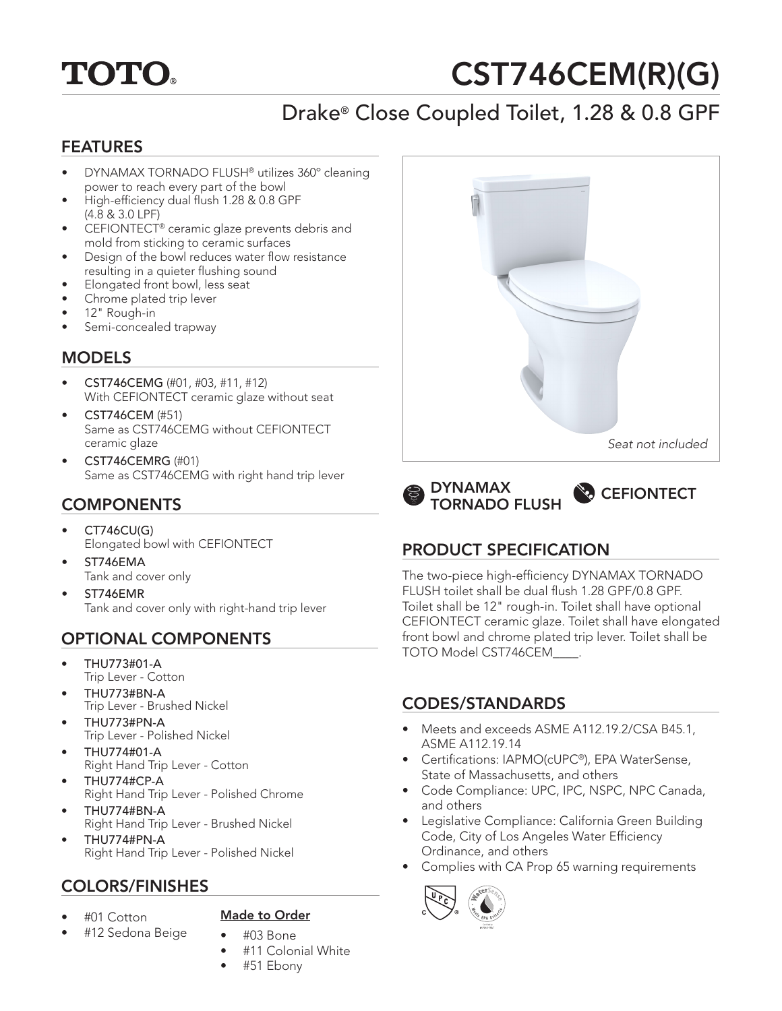# **TOTO.**

# CST746CEM(R)(G)

# Drake® Close Coupled Toilet, 1.28 & 0.8 GPF

#### FEATURES

- DYNAMAX TORNADO FLUSH® utilizes 360º cleaning power to reach every part of the bowl
- High-efficiency dual flush 1.28 & 0.8 GPF (4.8 & 3.0 LPF)
- CEFIONTECT® ceramic glaze prevents debris and mold from sticking to ceramic surfaces
- Design of the bowl reduces water flow resistance resulting in a quieter flushing sound
- Elongated front bowl, less seat
- Chrome plated trip lever
- 12" Rough-in
- Semi-concealed trapway

### MODELS

- CST746CEMG (#01, #03, #11, #12) With CEFIONTECT ceramic glaze without seat
- CST746CEM (#51) Same as CST746CEMG without CEFIONTECT ceramic glaze
- CST746CEMRG (#01) Same as CST746CEMG with right hand trip lever

### **COMPONENTS**

- CT746CU(G) Elongated bowl with CEFIONTECT
- ST746EMA Tank and cover only
- ST746EMR Tank and cover only with right-hand trip lever

# OPTIONAL COMPONENTS

- THU773#01-A Trip Lever - Cotton
- THU773#BN-A Trip Lever - Brushed Nickel
- THU773#PN-A Trip Lever - Polished Nickel
- THU774#01-A Right Hand Trip Lever - Cotton
- THU774#CP-A Right Hand Trip Lever - Polished Chrome
- THU774#BN-A Right Hand Trip Lever - Brushed Nickel
- THU774#PN-A Right Hand Trip Lever - Polished Nickel

# COLORS/FINISHES

• #01 Cotton

#### Made to Order

- #12 Sedona Beige
- #03 Bone • #11 Colonial White
- #51 Ebony





# PRODUCT SPECIFICATION

The two-piece high-efficiency DYNAMAX TORNADO FLUSH toilet shall be dual flush 1.28 GPF/0.8 GPF. Toilet shall be 12" rough-in. Toilet shall have optional CEFIONTECT ceramic glaze. Toilet shall have elongated front bowl and chrome plated trip lever. Toilet shall be TOTO Model CST746CEM\_\_\_\_.

#### CODES/STANDARDS

- Meets and exceeds ASME A112.19.2/CSA B45.1, ASME A112.19.14
- Certifications: IAPMO(cUPC®), EPA WaterSense, State of Massachusetts, and others
- Code Compliance: UPC, IPC, NSPC, NPC Canada, and others
- Legislative Compliance: California Green Building Code, City of Los Angeles Water Efficiency Ordinance, and others
- Complies with CA Prop 65 warning requirements